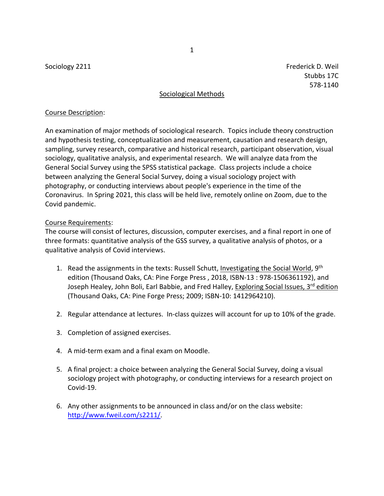Sociology 2211 **Frederick D. Weil** Sociology 2211 Stubbs 17C 578-1140

# Sociological Methods

# Course Description:

An examination of major methods of sociological research. Topics include theory construction and hypothesis testing, conceptualization and measurement, causation and research design, sampling, survey research, comparative and historical research, participant observation, visual sociology, qualitative analysis, and experimental research. We will analyze data from the General Social Survey using the SPSS statistical package. Class projects include a choice between analyzing the General Social Survey, doing a visual sociology project with photography, or conducting interviews about people's experience in the time of the Coronavirus. In Spring 2021, this class will be held live, remotely online on Zoom, due to the Covid pandemic.

## Course Requirements:

The course will consist of lectures, discussion, computer exercises, and a final report in one of three formats: quantitative analysis of the GSS survey, a qualitative analysis of photos, or a qualitative analysis of Covid interviews.

- 1. Read the assignments in the texts: Russell Schutt, Investigating the Social World, 9<sup>th</sup> edition (Thousand Oaks, CA: Pine Forge Press , 2018, ISBN-13 : 978-1506361192), and Joseph Healey, John Boli, Earl Babbie, and Fred Halley, Exploring Social Issues, 3<sup>rd</sup> edition (Thousand Oaks, CA: Pine Forge Press; 2009; ISBN-10: 1412964210).
- 2. Regular attendance at lectures. In-class quizzes will account for up to 10% of the grade.
- 3. Completion of assigned exercises.
- 4. A mid-term exam and a final exam on Moodle.
- 5. A final project: a choice between analyzing the General Social Survey, doing a visual sociology project with photography, or conducting interviews for a research project on Covid-19.
- 6. Any other assignments to be announced in class and/or on the class website: [http://www.fweil.com/s2211/.](http://www.fweil.com/s2211/)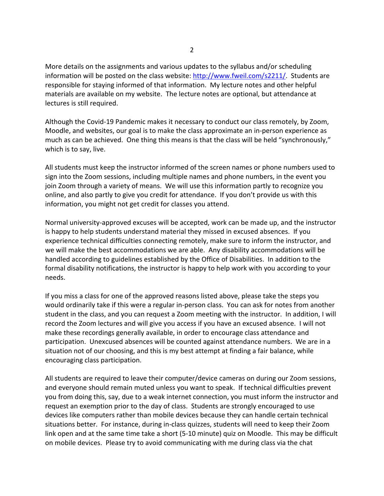More details on the assignments and various updates to the syllabus and/or scheduling information will be posted on the class website: [http://www.fweil.com/s2211/.](http://www.fweil.com/s2211/) Students are responsible for staying informed of that information. My lecture notes and other helpful materials are available on my website. The lecture notes are optional, but attendance at lectures is still required.

Although the Covid-19 Pandemic makes it necessary to conduct our class remotely, by Zoom, Moodle, and websites, our goal is to make the class approximate an in-person experience as much as can be achieved. One thing this means is that the class will be held "synchronously," which is to say, live.

All students must keep the instructor informed of the screen names or phone numbers used to sign into the Zoom sessions, including multiple names and phone numbers, in the event you join Zoom through a variety of means. We will use this information partly to recognize you online, and also partly to give you credit for attendance. If you don't provide us with this information, you might not get credit for classes you attend.

Normal university-approved excuses will be accepted, work can be made up, and the instructor is happy to help students understand material they missed in excused absences. If you experience technical difficulties connecting remotely, make sure to inform the instructor, and we will make the best accommodations we are able. Any disability accommodations will be handled according to guidelines established by the Office of Disabilities. In addition to the formal disability notifications, the instructor is happy to help work with you according to your needs.

If you miss a class for one of the approved reasons listed above, please take the steps you would ordinarily take if this were a regular in-person class. You can ask for notes from another student in the class, and you can request a Zoom meeting with the instructor. In addition, I will record the Zoom lectures and will give you access if you have an excused absence. I will not make these recordings generally available, in order to encourage class attendance and participation. Unexcused absences will be counted against attendance numbers. We are in a situation not of our choosing, and this is my best attempt at finding a fair balance, while encouraging class participation.

All students are required to leave their computer/device cameras on during our Zoom sessions, and everyone should remain muted unless you want to speak. If technical difficulties prevent you from doing this, say, due to a weak internet connection, you must inform the instructor and request an exemption prior to the day of class. Students are strongly encouraged to use devices like computers rather than mobile devices because they can handle certain technical situations better. For instance, during in-class quizzes, students will need to keep their Zoom link open and at the same time take a short (5-10 minute) quiz on Moodle. This may be difficult on mobile devices. Please try to avoid communicating with me during class via the chat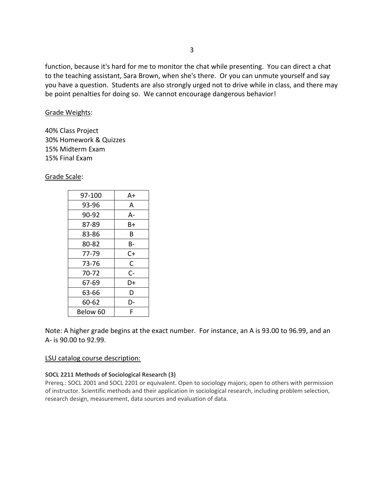function, because it's hard for me to monitor the chat while presenting. You can direct a chat to the teaching assistant, Sara Brown, when she's there. Or you can unmute yourself and say you have a question. Students are also strongly urged not to drive while in class, and there may be point penalties for doing so. We cannot encourage dangerous behavior!

# Grade Weights:

40% Class Project 30% Homework & Quizzes 15% Midterm Exam 15% Final Exam

Grade Scale:

| 97-100   | A+           |  |
|----------|--------------|--|
| 93-96    | A            |  |
| 90-92    | A-           |  |
| 87-89    | B+           |  |
| 83-86    | В            |  |
| 80-82    | В-           |  |
| 77-79    | C+           |  |
| 73-76    | $\mathsf{C}$ |  |
| 70-72    | $C -$        |  |
| 67-69    | D+           |  |
| 63-66    | D            |  |
| 60-62    | D-           |  |
| Below 60 | F            |  |

Note: A higher grade begins at the exact number. For instance, an A is 93.00 to 96.99, and an A- is 90.00 to 92.99.

# LSU catalog course description:

# **SOCL 2211 Methods of Sociological Research (3)**

Prereq.: SOCL 2001 and SOCL 2201 or equivalent. Open to sociology majors; open to others with permission of instructor. Scientific methods and their application in sociological research, including problem selection, research design, measurement, data sources and evaluation of data.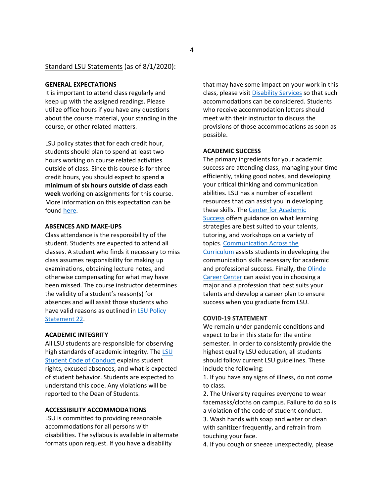## Standard LSU Statements (as of 8/1/2020):

#### **GENERAL EXPECTATIONS**

It is important to attend class regularly and keep up with the assigned readings. Please utilize office hours if you have any questions about the course material, your standing in the course, or other related matters.

LSU policy states that for each credit hour, students should plan to spend at least two hours working on course related activities outside of class. Since this course is for three credit hours, you should expect to spend **a minimum of six hours outside of class each week** working on assignments for this course. More information on this expectation can be found [here.](http://catalog.lsu.edu/content.php?catoid=12&navoid=822)

#### **ABSENCES AND MAKE-UPS**

Class attendance is the responsibility of the student. Students are expected to attend all classes. A student who finds it necessary to miss class assumes responsibility for making up examinations, obtaining lecture notes, and otherwise compensating for what may have been missed. The course instructor determines the validity of a student's reason(s) for absences and will assist those students who have valid reasons as outlined in [LSU Policy](https://www.lsu.edu/policies/ps/ps_22.pdf)  [Statement 22.](https://www.lsu.edu/policies/ps/ps_22.pdf)

## **ACADEMIC INTEGRITY**

All LSU students are responsible for observing high standards of academic integrity. The [LSU](https://www.lsu.edu/saa/students/codeofconduct.php)  [Student Code of Conduct](https://www.lsu.edu/saa/students/codeofconduct.php) explains student rights, excused absences, and what is expected of student behavior. Students are expected to understand this code. Any violations will be reported to the Dean of Students.

## **ACCESSIBILITY ACCOMMODATIONS**

LSU is committed to providing reasonable accommodations for all persons with disabilities. The syllabus is available in alternate formats upon request. If you have a disability

that may have some impact on your work in this class, please visit [Disability Services](https://www.lsu.edu/disability/) so that such accommodations can be considered. Students who receive accommodation letters should meet with their instructor to discuss the provisions of those accommodations as soon as possible.

#### **ACADEMIC SUCCESS**

The primary ingredients for your academic success are attending class, managing your time efficiently, taking good notes, and developing your critical thinking and communication abilities. LSU has a number of excellent resources that can assist you in developing these skills. The [Center for Academic](https://www.lsu.edu/cas/)  [Success](https://www.lsu.edu/cas/) offers guidance on what learning strategies are best suited to your talents, tutoring, and workshops on a variety of topics. [Communication Across the](http://cxc.lsu.edu/)  [Curriculum](http://cxc.lsu.edu/) assists students in developing the communication skills necessary for academic and professional success. Finally, the Olinde [Career Center](https://www.lsu.edu/careercenter/index.php) can assist you in choosing a major and a profession that best suits your talents and develop a career plan to ensure success when you graduate from LSU.

#### **COVID-19 STATEMENT**

We remain under pandemic conditions and expect to be in this state for the entire semester. In order to consistently provide the highest quality LSU education, all students should follow current LSU guidelines. These include the following:

1. If you have any signs of illness, do not come to class.

2. The University requires everyone to wear facemasks/cloths on campus. Failure to do so is a violation of the code of student conduct.

3. Wash hands with soap and water or clean with sanitizer frequently, and refrain from touching your face.

4. If you cough or sneeze unexpectedly, please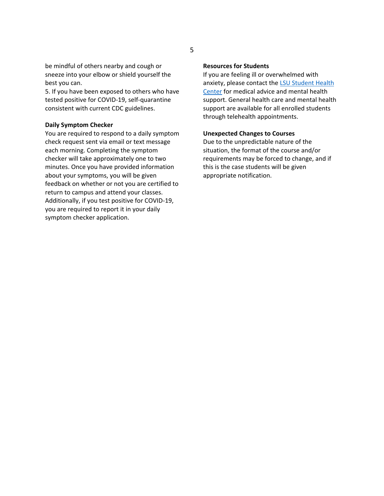be mindful of others nearby and cough or sneeze into your elbow or shield yourself the best you can.

5. If you have been exposed to others who have tested positive for COVID-19, self-quarantine consistent with current CDC guidelines.

#### **Daily Symptom Checker**

You are required to respond to a daily symptom check request sent via email or text message each morning. Completing the symptom checker will take approximately one to two minutes. Once you have provided information about your symptoms, you will be given feedback on whether or not you are certified to return to campus and attend your classes. Additionally, if you test positive for COVID-19, you are required to report it in your daily symptom checker application.

## **Resources for Students**

If you are feeling ill or overwhelmed with anxiety, please contact the [LSU Student Health](https://lsu.edu/shc/)  [Center](https://lsu.edu/shc/) for medical advice and mental health support. General health care and mental health support are available for all enrolled students through telehealth appointments.

## **Unexpected Changes to Courses**

Due to the unpredictable nature of the situation, the format of the course and/or requirements may be forced to change, and if this is the case students will be given appropriate notification.